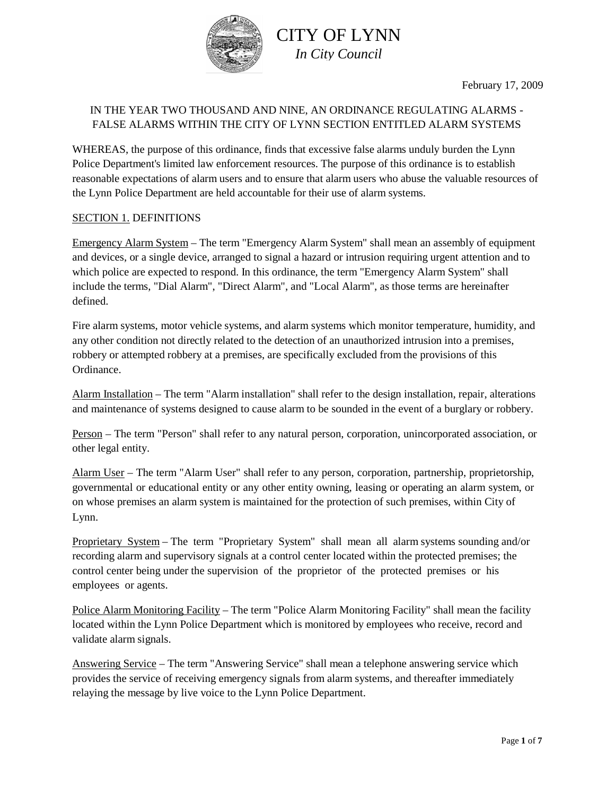

February 17, 2009

## IN THE YEAR TWO THOUSAND AND NINE, AN ORDINANCE REGULATING ALARMS - FALSE ALARMS WITHIN THE CITY OF LYNN SECTION ENTITLED ALARM SYSTEMS

WHEREAS, the purpose of this ordinance, finds that excessive false alarms unduly burden the Lynn Police Department's limited law enforcement resources. The purpose of this ordinance is to establish reasonable expectations of alarm users and to ensure that alarm users who abuse the valuable resources of the Lynn Police Department are held accountable for their use of alarm systems.

#### SECTION 1. DEFINITIONS

Emergency Alarm System – The term "Emergency Alarm System" shall mean an assembly of equipment and devices, or a single device, arranged to signal a hazard or intrusion requiring urgent attention and to which police are expected to respond. In this ordinance, the term "Emergency Alarm System" shall include the terms, "Dial Alarm", "Direct Alarm", and "Local Alarm", as those terms are hereinafter defined.

Fire alarm systems, motor vehicle systems, and alarm systems which monitor temperature, humidity, and any other condition not directly related to the detection of an unauthorized intrusion into a premises, robbery or attempted robbery at a premises, are specifically excluded from the provisions of this Ordinance.

Alarm Installation – The term "Alarm installation" shall refer to the design installation, repair, alterations and maintenance of systems designed to cause alarm to be sounded in the event of a burglary or robbery.

Person – The term "Person" shall refer to any natural person, corporation, unincorporated association, or other legal entity.

Alarm User – The term "Alarm User" shall refer to any person, corporation, partnership, proprietorship, governmental or educational entity or any other entity owning, leasing or operating an alarm system, or on whose premises an alarm system is maintained for the protection of such premises, within City of Lynn.

Proprietary System – The term "Proprietary System" shall mean all alarm systems sounding and/or recording alarm and supervisory signals at a control center located within the protected premises; the control center being under the supervision of the proprietor of the protected premises or his employees or agents.

Police Alarm Monitoring Facility – The term "Police Alarm Monitoring Facility" shall mean the facility located within the Lynn Police Department which is monitored by employees who receive, record and validate alarm signals.

Answering Service – The term "Answering Service" shall mean a telephone answering service which provides the service of receiving emergency signals from alarm systems, and thereafter immediately relaying the message by live voice to the Lynn Police Department.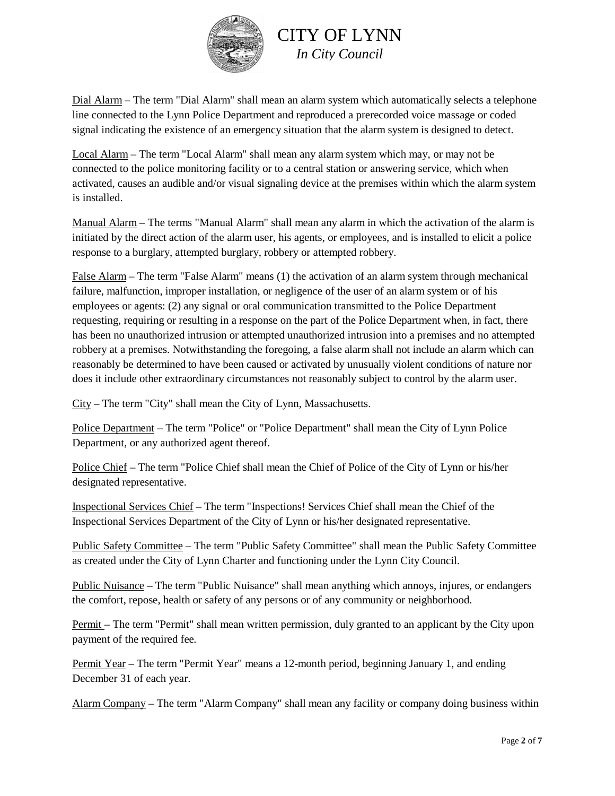

Dial Alarm – The term "Dial Alarm" shall mean an alarm system which automatically selects a telephone line connected to the Lynn Police Department and reproduced a prerecorded voice massage or coded signal indicating the existence of an emergency situation that the alarm system is designed to detect.

Local Alarm – The term "Local Alarm" shall mean any alarm system which may, or may not be connected to the police monitoring facility or to a central station or answering service, which when activated, causes an audible and/or visual signaling device at the premises within which the alarm system is installed.

Manual Alarm – The terms "Manual Alarm" shall mean any alarm in which the activation of the alarm is initiated by the direct action of the alarm user, his agents, or employees, and is installed to elicit a police response to a burglary, attempted burglary, robbery or attempted robbery.

False Alarm – The term "False Alarm" means (1) the activation of an alarm system through mechanical failure, malfunction, improper installation, or negligence of the user of an alarm system or of his employees or agents: (2) any signal or oral communication transmitted to the Police Department requesting, requiring or resulting in a response on the part of the Police Department when, in fact, there has been no unauthorized intrusion or attempted unauthorized intrusion into a premises and no attempted robbery at a premises. Notwithstanding the foregoing, a false alarm shall not include an alarm which can reasonably be determined to have been caused or activated by unusually violent conditions of nature nor does it include other extraordinary circumstances not reasonably subject to control by the alarm user.

City – The term "City" shall mean the City of Lynn, Massachusetts.

Police Department – The term "Police" or "Police Department" shall mean the City of Lynn Police Department, or any authorized agent thereof.

Police Chief – The term "Police Chief shall mean the Chief of Police of the City of Lynn or his/her designated representative.

Inspectional Services Chief – The term "Inspections! Services Chief shall mean the Chief of the Inspectional Services Department of the City of Lynn or his/her designated representative.

Public Safety Committee – The term "Public Safety Committee" shall mean the Public Safety Committee as created under the City of Lynn Charter and functioning under the Lynn City Council.

Public Nuisance – The term "Public Nuisance" shall mean anything which annoys, injures, or endangers the comfort, repose, health or safety of any persons or of any community or neighborhood.

Permit – The term "Permit" shall mean written permission, duly granted to an applicant by the City upon payment of the required fee.

Permit Year – The term "Permit Year" means a 12-month period, beginning January 1, and ending December 31 of each year.

Alarm Company – The term "Alarm Company" shall mean any facility or company doing business within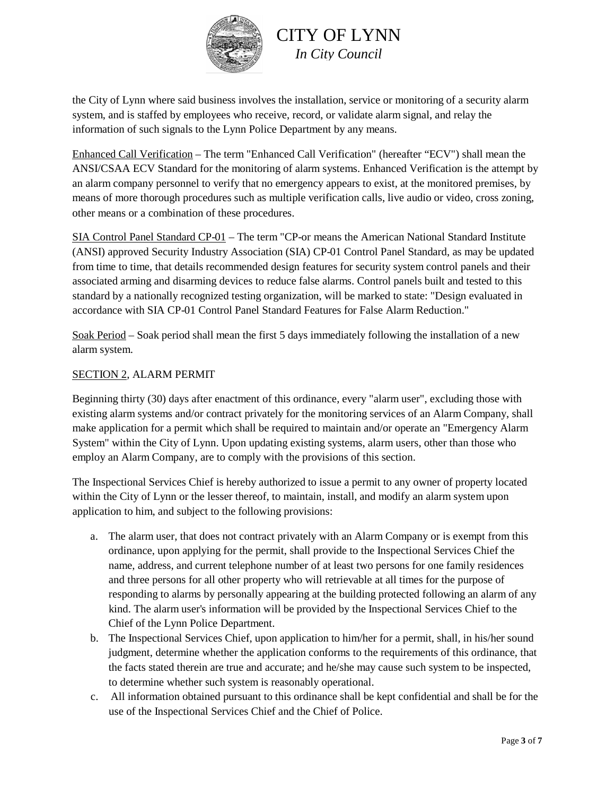

the City of Lynn where said business involves the installation, service or monitoring of a security alarm system, and is staffed by employees who receive, record, or validate alarm signal, and relay the information of such signals to the Lynn Police Department by any means.

Enhanced Call Verification – The term "Enhanced Call Verification" (hereafter "ECV") shall mean the ANSI/CSAA ECV Standard for the monitoring of alarm systems. Enhanced Verification is the attempt by an alarm company personnel to verify that no emergency appears to exist, at the monitored premises, by means of more thorough procedures such as multiple verification calls, live audio or video, cross zoning, other means or a combination of these procedures.

SIA Control Panel Standard CP-01 – The term "CP-or means the American National Standard Institute (ANSI) approved Security Industry Association (SIA) CP-01 Control Panel Standard, as may be updated from time to time, that details recommended design features for security system control panels and their associated arming and disarming devices to reduce false alarms. Control panels built and tested to this standard by a nationally recognized testing organization, will be marked to state: "Design evaluated in accordance with SIA CP-01 Control Panel Standard Features for False Alarm Reduction."

Soak Period – Soak period shall mean the first 5 days immediately following the installation of a new alarm system.

#### SECTION 2, ALARM PERMIT

Beginning thirty (30) days after enactment of this ordinance, every "alarm user", excluding those with existing alarm systems and/or contract privately for the monitoring services of an Alarm Company, shall make application for a permit which shall be required to maintain and/or operate an "Emergency Alarm System" within the City of Lynn. Upon updating existing systems, alarm users, other than those who employ an Alarm Company, are to comply with the provisions of this section.

The Inspectional Services Chief is hereby authorized to issue a permit to any owner of property located within the City of Lynn or the lesser thereof, to maintain, install, and modify an alarm system upon application to him, and subject to the following provisions:

- a. The alarm user, that does not contract privately with an Alarm Company or is exempt from this ordinance, upon applying for the permit, shall provide to the Inspectional Services Chief the name, address, and current telephone number of at least two persons for one family residences and three persons for all other property who will retrievable at all times for the purpose of responding to alarms by personally appearing at the building protected following an alarm of any kind. The alarm user's information will be provided by the Inspectional Services Chief to the Chief of the Lynn Police Department.
- b. The Inspectional Services Chief, upon application to him/her for a permit, shall, in his/her sound judgment, determine whether the application conforms to the requirements of this ordinance, that the facts stated therein are true and accurate; and he/she may cause such system to be inspected, to determine whether such system is reasonably operational.
- c. All information obtained pursuant to this ordinance shall be kept confidential and shall be for the use of the Inspectional Services Chief and the Chief of Police.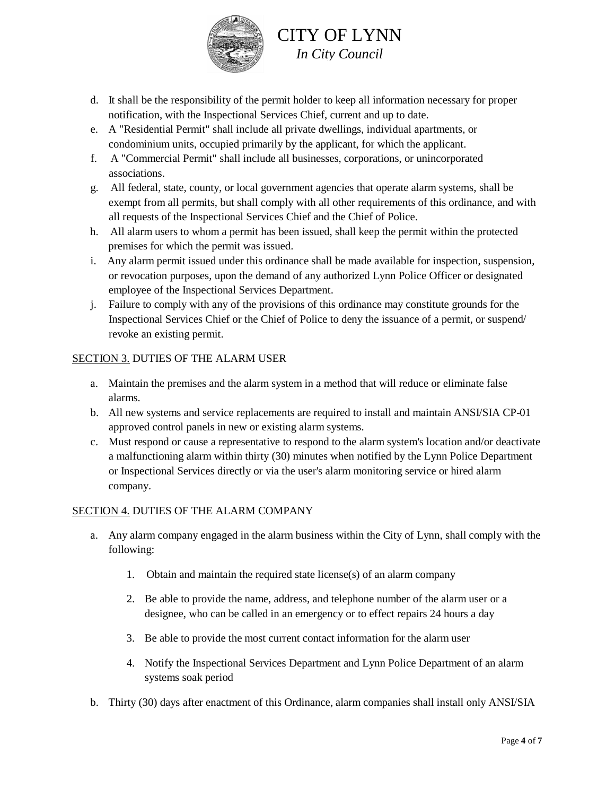

- d. It shall be the responsibility of the permit holder to keep all information necessary for proper notification, with the Inspectional Services Chief, current and up to date.
- e. A "Residential Permit" shall include all private dwellings, individual apartments, or condominium units, occupied primarily by the applicant, for which the applicant.
- f. A "Commercial Permit" shall include all businesses, corporations, or unincorporated associations.
- g. All federal, state, county, or local government agencies that operate alarm systems, shall be exempt from all permits, but shall comply with all other requirements of this ordinance, and with all requests of the Inspectional Services Chief and the Chief of Police.
- h. All alarm users to whom a permit has been issued, shall keep the permit within the protected premises for which the permit was issued.
- i. Any alarm permit issued under this ordinance shall be made available for inspection, suspension, or revocation purposes, upon the demand of any authorized Lynn Police Officer or designated employee of the Inspectional Services Department.
- j. Failure to comply with any of the provisions of this ordinance may constitute grounds for the Inspectional Services Chief or the Chief of Police to deny the issuance of a permit, or suspend/ revoke an existing permit.

## SECTION 3. DUTIES OF THE ALARM USER

- a. Maintain the premises and the alarm system in a method that will reduce or eliminate false alarms.
- b. All new systems and service replacements are required to install and maintain ANSI/SIA CP-01 approved control panels in new or existing alarm systems.
- c. Must respond or cause a representative to respond to the alarm system's location and/or deactivate a malfunctioning alarm within thirty (30) minutes when notified by the Lynn Police Department or Inspectional Services directly or via the user's alarm monitoring service or hired alarm company.

## SECTION 4. DUTIES OF THE ALARM COMPANY

- a. Any alarm company engaged in the alarm business within the City of Lynn, shall comply with the following:
	- 1. Obtain and maintain the required state license(s) of an alarm company
	- 2. Be able to provide the name, address, and telephone number of the alarm user or a designee, who can be called in an emergency or to effect repairs 24 hours a day
	- 3. Be able to provide the most current contact information for the alarm user
	- 4. Notify the Inspectional Services Department and Lynn Police Department of an alarm systems soak period
- b. Thirty (30) days after enactment of this Ordinance, alarm companies shall install only ANSI/SIA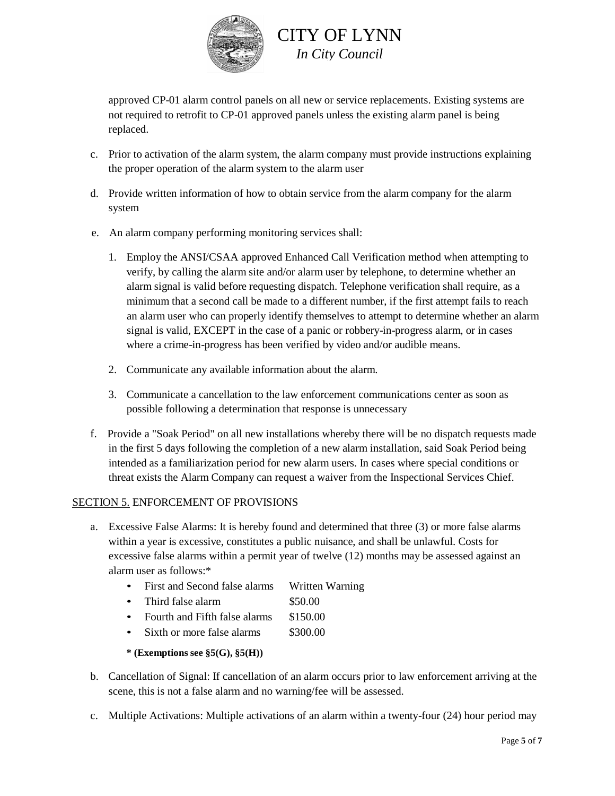

approved CP-01 alarm control panels on all new or service replacements. Existing systems are not required to retrofit to CP-01 approved panels unless the existing alarm panel is being replaced.

- c. Prior to activation of the alarm system, the alarm company must provide instructions explaining the proper operation of the alarm system to the alarm user
- d. Provide written information of how to obtain service from the alarm company for the alarm system
- e. An alarm company performing monitoring services shall:
	- 1. Employ the ANSI/CSAA approved Enhanced Call Verification method when attempting to verify, by calling the alarm site and/or alarm user by telephone, to determine whether an alarm signal is valid before requesting dispatch. Telephone verification shall require, as a minimum that a second call be made to a different number, if the first attempt fails to reach an alarm user who can properly identify themselves to attempt to determine whether an alarm signal is valid, EXCEPT in the case of a panic or robbery-in-progress alarm, or in cases where a crime-in-progress has been verified by video and/or audible means.
	- 2. Communicate any available information about the alarm.
	- 3. Communicate a cancellation to the law enforcement communications center as soon as possible following a determination that response is unnecessary
- f. Provide a "Soak Period" on all new installations whereby there will be no dispatch requests made in the first 5 days following the completion of a new alarm installation, said Soak Period being intended as a familiarization period for new alarm users. In cases where special conditions or threat exists the Alarm Company can request a waiver from the Inspectional Services Chief.

#### SECTION 5. ENFORCEMENT OF PROVISIONS

- a. Excessive False Alarms: It is hereby found and determined that three (3) or more false alarms within a year is excessive, constitutes a public nuisance, and shall be unlawful. Costs for excessive false alarms within a permit year of twelve (12) months may be assessed against an alarm user as follows:\*
	- First and Second false alarms Written Warning
	- Third false alarm \$50.00
	- Fourth and Fifth false alarms \$150.00
	- Sixth or more false alarms \$300.00
	- **\* (Exemptions see §5(G), §5(H))**
- b. Cancellation of Signal: If cancellation of an alarm occurs prior to law enforcement arriving at the scene, this is not a false alarm and no warning/fee will be assessed.
- c. Multiple Activations: Multiple activations of an alarm within a twenty-four (24) hour period may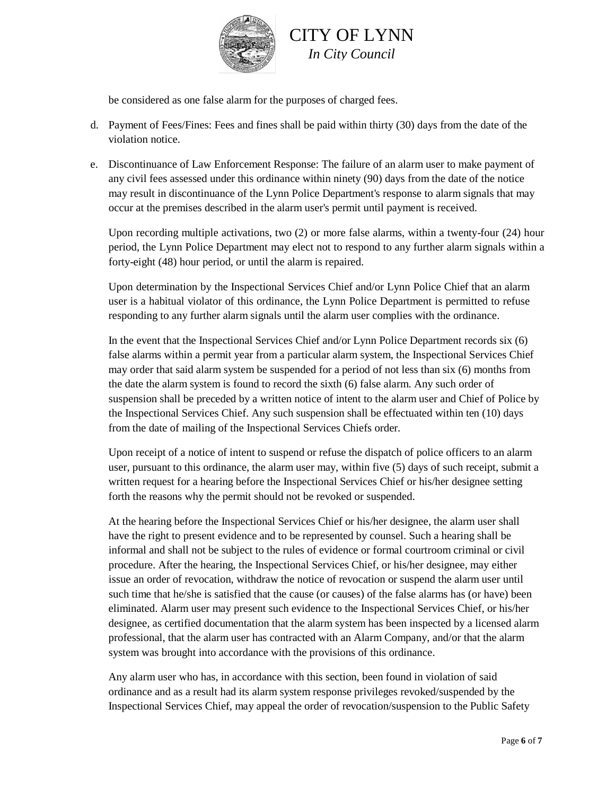

be considered as one false alarm for the purposes of charged fees.

- d. Payment of Fees/Fines: Fees and fines shall be paid within thirty (30) days from the date of the violation notice.
- e. Discontinuance of Law Enforcement Response: The failure of an alarm user to make payment of any civil fees assessed under this ordinance within ninety (90) days from the date of the notice may result in discontinuance of the Lynn Police Department's response to alarm signals that may occur at the premises described in the alarm user's permit until payment is received.

Upon recording multiple activations, two (2) or more false alarms, within a twenty-four (24) hour period, the Lynn Police Department may elect not to respond to any further alarm signals within a forty-eight (48) hour period, or until the alarm is repaired.

Upon determination by the Inspectional Services Chief and/or Lynn Police Chief that an alarm user is a habitual violator of this ordinance, the Lynn Police Department is permitted to refuse responding to any further alarm signals until the alarm user complies with the ordinance.

In the event that the Inspectional Services Chief and/or Lynn Police Department records six (6) false alarms within a permit year from a particular alarm system, the Inspectional Services Chief may order that said alarm system be suspended for a period of not less than six (6) months from the date the alarm system is found to record the sixth (6) false alarm. Any such order of suspension shall be preceded by a written notice of intent to the alarm user and Chief of Police by the Inspectional Services Chief. Any such suspension shall be effectuated within ten (10) days from the date of mailing of the Inspectional Services Chiefs order.

Upon receipt of a notice of intent to suspend or refuse the dispatch of police officers to an alarm user, pursuant to this ordinance, the alarm user may, within five (5) days of such receipt, submit a written request for a hearing before the Inspectional Services Chief or his/her designee setting forth the reasons why the permit should not be revoked or suspended.

At the hearing before the Inspectional Services Chief or his/her designee, the alarm user shall have the right to present evidence and to be represented by counsel. Such a hearing shall be informal and shall not be subject to the rules of evidence or formal courtroom criminal or civil procedure. After the hearing, the Inspectional Services Chief, or his/her designee, may either issue an order of revocation, withdraw the notice of revocation or suspend the alarm user until such time that he/she is satisfied that the cause (or causes) of the false alarms has (or have) been eliminated. Alarm user may present such evidence to the Inspectional Services Chief, or his/her designee, as certified documentation that the alarm system has been inspected by a licensed alarm professional, that the alarm user has contracted with an Alarm Company, and/or that the alarm system was brought into accordance with the provisions of this ordinance.

Any alarm user who has, in accordance with this section, been found in violation of said ordinance and as a result had its alarm system response privileges revoked/suspended by the Inspectional Services Chief, may appeal the order of revocation/suspension to the Public Safety